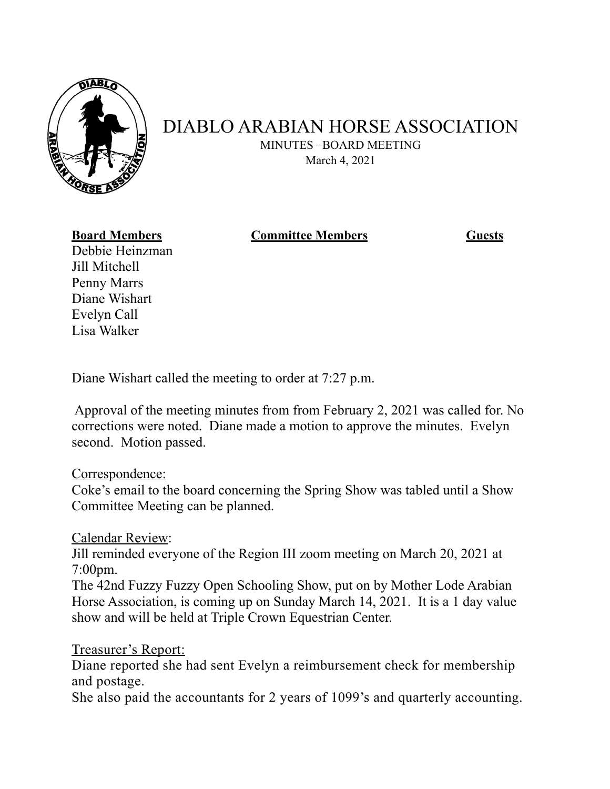

# DIABLO ARABIAN HORSE ASSOCIATION

 MINUTES –BOARD MEETING March 4, 2021

**Board Members Committee Members Guests** 

Debbie Heinzman Jill Mitchell Penny Marrs Diane Wishart Evelyn Call Lisa Walker

Diane Wishart called the meeting to order at 7:27 p.m.

 Approval of the meeting minutes from from February 2, 2021 was called for. No corrections were noted. Diane made a motion to approve the minutes. Evelyn second. Motion passed.

### Correspondence:

Coke's email to the board concerning the Spring Show was tabled until a Show Committee Meeting can be planned.

Calendar Review:

Jill reminded everyone of the Region III zoom meeting on March 20, 2021 at 7:00pm.

The 42nd Fuzzy Fuzzy Open Schooling Show, put on by Mother Lode Arabian Horse Association, is coming up on Sunday March 14, 2021. It is a 1 day value show and will be held at Triple Crown Equestrian Center.

Treasurer's Report:

Diane reported she had sent Evelyn a reimbursement check for membership and postage.

She also paid the accountants for 2 years of 1099's and quarterly accounting.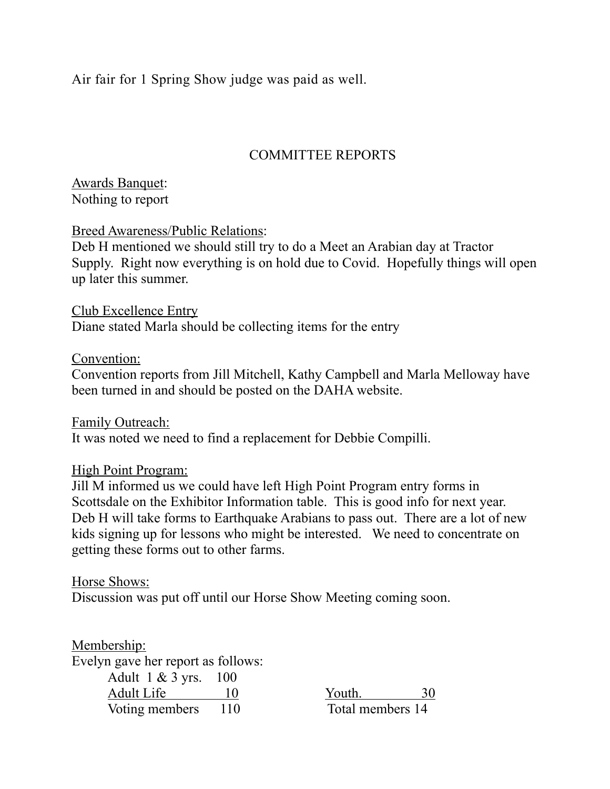Air fair for 1 Spring Show judge was paid as well.

# COMMITTEE REPORTS

Awards Banquet: Nothing to report

Breed Awareness/Public Relations:

Deb H mentioned we should still try to do a Meet an Arabian day at Tractor Supply. Right now everything is on hold due to Covid. Hopefully things will open up later this summer.

Club Excellence Entry Diane stated Marla should be collecting items for the entry

#### Convention:

Convention reports from Jill Mitchell, Kathy Campbell and Marla Melloway have been turned in and should be posted on the DAHA website.

Family Outreach:

It was noted we need to find a replacement for Debbie Compilli.

### High Point Program:

Jill M informed us we could have left High Point Program entry forms in Scottsdale on the Exhibitor Information table. This is good info for next year. Deb H will take forms to Earthquake Arabians to pass out. There are a lot of new kids signing up for lessons who might be interested. We need to concentrate on getting these forms out to other farms.

Horse Shows:

Discussion was put off until our Horse Show Meeting coming soon.

Membership: Evelyn gave her report as follows: Adult 1 & 3 yrs. 100 Adult Life 10 Youth. 30 Voting members 110 Total members 14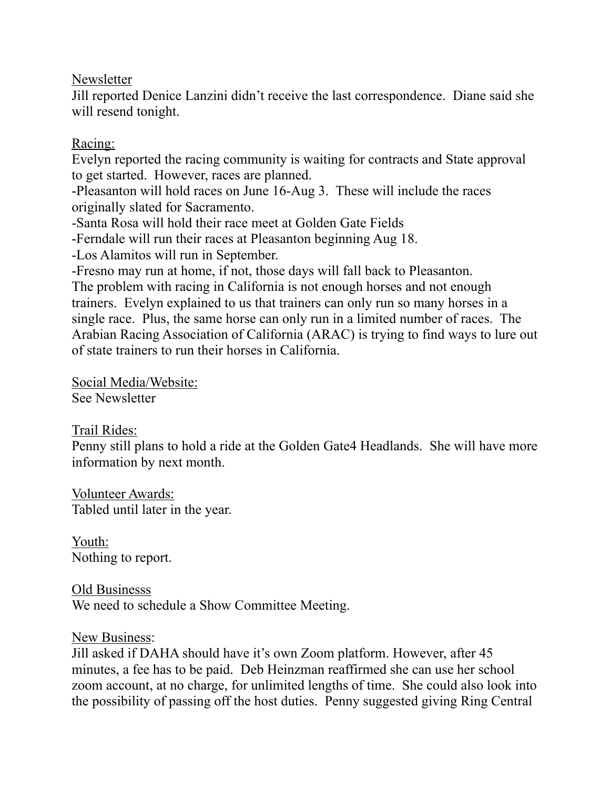Newsletter

Jill reported Denice Lanzini didn't receive the last correspondence. Diane said she will resend tonight.

# Racing:

Evelyn reported the racing community is waiting for contracts and State approval to get started. However, races are planned.

-Pleasanton will hold races on June 16-Aug 3. These will include the races originally slated for Sacramento.

-Santa Rosa will hold their race meet at Golden Gate Fields

-Ferndale will run their races at Pleasanton beginning Aug 18.

-Los Alamitos will run in September.

-Fresno may run at home, if not, those days will fall back to Pleasanton.

The problem with racing in California is not enough horses and not enough trainers. Evelyn explained to us that trainers can only run so many horses in a single race. Plus, the same horse can only run in a limited number of races. The Arabian Racing Association of California (ARAC) is trying to find ways to lure out of state trainers to run their horses in California.

Social Media/Website: See Newsletter

# Trail Rides:

Penny still plans to hold a ride at the Golden Gate4 Headlands. She will have more information by next month.

Volunteer Awards: Tabled until later in the year.

Youth: Nothing to report.

Old Businesss We need to schedule a Show Committee Meeting.

# New Business:

Jill asked if DAHA should have it's own Zoom platform. However, after 45 minutes, a fee has to be paid. Deb Heinzman reaffirmed she can use her school zoom account, at no charge, for unlimited lengths of time. She could also look into the possibility of passing off the host duties. Penny suggested giving Ring Central